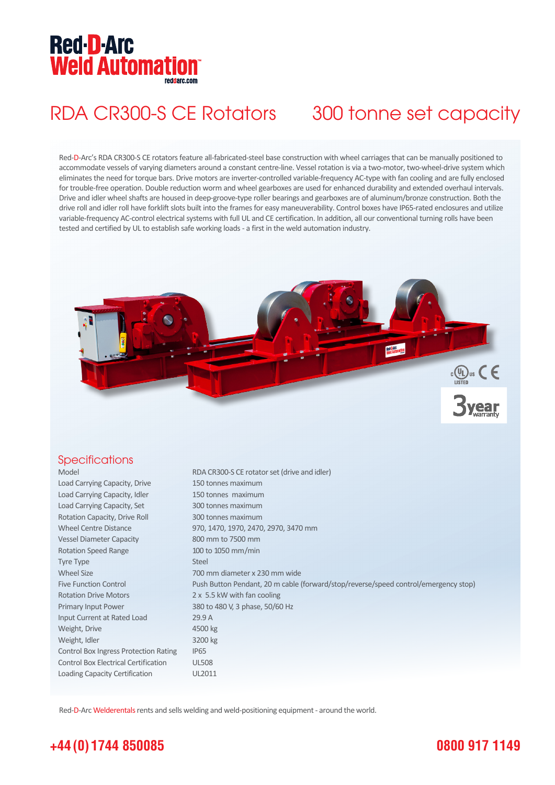# **Red-D-Arc Weld Automation®**

## RDA CR300-S CE Rotators 300 tonne set capacity

Red-D-Arc's RDA CR300-S CE rotators feature all-fabricated-steel base construction with wheel carriages that can be manually positioned to accommodate vessels of varying diameters around a constant centre-line. Vessel rotation is via a two-motor, two-wheel-drive system which eliminates the need for torque bars. Drive motors are inverter-controlled variable-frequency AC-type with fan cooling and are fully enclosed for trouble-free operation. Double reduction worm and wheel gearboxes are used for enhanced durability and extended overhaul intervals. Drive and idler wheel shafts are housed in deep-groove-type roller bearings and gearboxes are of aluminum/bronze construction. Both the drive roll and idler roll have forklift slots built into the frames for easy maneuverability. Control boxes have IP65-rated enclosures and utilize variable-frequency AC-control electrical systems with full UL and CE certification. In addition, all our conventional turning rolls have been tested and certified by UL to establish safe working loads - a first in the weld automation industry.



### **Specifications**

| Model                                        | RDA CR300-S CE rotator set (drive and idler)                                        |
|----------------------------------------------|-------------------------------------------------------------------------------------|
| Load Carrying Capacity, Drive                | 150 tonnes maximum                                                                  |
| Load Carrying Capacity, Idler                | 150 tonnes maximum                                                                  |
| Load Carrying Capacity, Set                  | 300 tonnes maximum                                                                  |
| Rotation Capacity, Drive Roll                | 300 tonnes maximum                                                                  |
| <b>Wheel Centre Distance</b>                 | 970, 1470, 1970, 2470, 2970, 3470 mm                                                |
| <b>Vessel Diameter Capacity</b>              | 800 mm to 7500 mm                                                                   |
| <b>Rotation Speed Range</b>                  | 100 to 1050 mm/min                                                                  |
| <b>Tyre Type</b>                             | <b>Steel</b>                                                                        |
| <b>Wheel Size</b>                            | 700 mm diameter x 230 mm wide                                                       |
| <b>Five Function Control</b>                 | Push Button Pendant, 20 m cable (forward/stop/reverse/speed control/emergency stop) |
| <b>Rotation Drive Motors</b>                 | 2 x 5.5 kW with fan cooling                                                         |
| Primary Input Power                          | 380 to 480 V, 3 phase, 50/60 Hz                                                     |
| Input Current at Rated Load                  | 29.9 A                                                                              |
| Weight, Drive                                | 4500 kg                                                                             |
| Weight, Idler                                | 3200 kg                                                                             |
| <b>Control Box Ingress Protection Rating</b> | IP <sub>65</sub>                                                                    |
| <b>Control Box Electrical Certification</b>  | <b>UL508</b>                                                                        |
| Loading Capacity Certification               | UL2011                                                                              |

Red-D-Arc Welderentals rents and sells welding and weld-positioning equipment - around the world.

## **+44 (0) 1744 850085**

## **0800 917 1149**